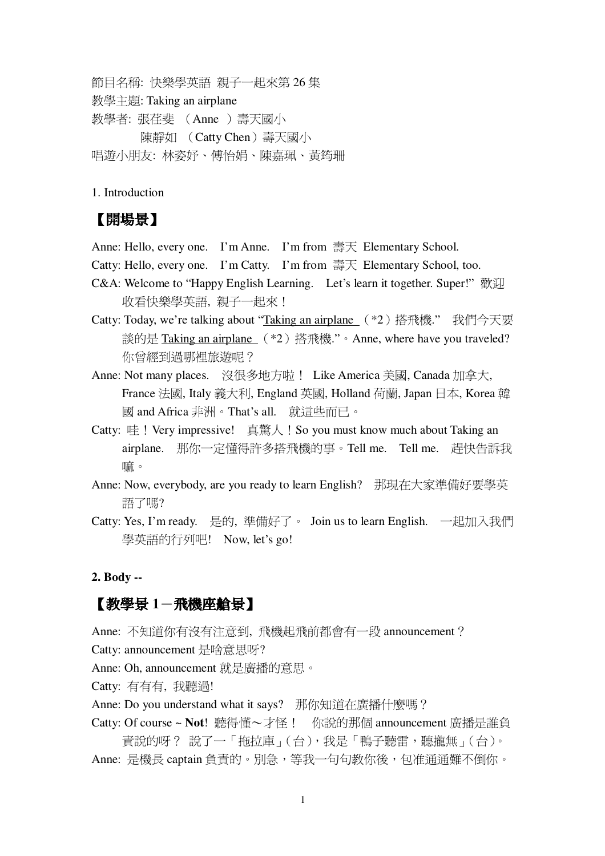節目名稱: 快樂學英語 親子一起來第 26 集 教學主題: Taking an airplane 教學者: 張荏斐 (Anne) 壽天國小 陳靜如 (Catty Chen)壽天國小 唱遊小朋友: 林姿妤、傅怡娟、陳嘉珮、黃筠珊

1. Introduction

## 【開場景】

Anne: Hello, every one. I'm Anne. I'm from 壽天 Elementary School.

Catty: Hello, every one. I'm Catty. I'm from 壽天 Elementary School, too.

- C&A: Welcome to "Happy English Learning. Let's learn it together. Super!" 歡迎 收看快樂學英語,親子一起來!
- Catty: Today, we're talking about "Taking an airplane  $(*2)$  搭飛機."我們今天要 談的是 Taking an airplane (\*2)搭飛機"。Anne, where have you traveled? 你曾經到過哪裡旅游呢?
- Anne: Not many places. 沒很多地方啦! Like America 美國, Canada 加拿大, France 法國, Italy 義大利, England 英國, Holland 荷蘭, Japan 日本, Korea 韓 國 and Africa 非洲。That's all. 就這些而已。
- Catty: 哇!Very impressive! 真驚人!So you must know much about Taking an airplane. 那你一定懂得許多搭飛機的事。Tell me. Tell me. 趕快告訴我 嘛。
- Anne: Now, everybody, are you ready to learn English? 那現在大家準備好要學英 語了嗎?
- Catty: Yes, I'm ready. 是的, 準備好了。 Join us to learn English. 一起加入我們 學英語的行列吧! Now, let's go!

#### **2. Body --**

### 【教學景 1-飛機座艙景】

Anne: 不知道你有沒有注意到, 飛機起飛前都會有一段 announcement ? Catty: announcement 是啥意思呀?

Anne: Oh, announcement 就是廣播的意思。

Catty: 有有有, 我聽過!

- Anne: Do you understand what it says? 那你知道在廣播什麼嗎?
- Catty: Of course ~ Not! 聽得懂~才怪! 你說的那個 announcement 廣播是誰負 責說的呀?說了一「拖拉庫」(台),我是「鴨子聽雷,聽攏無」(台)。 Anne: 是機長 captain 負責的。別急,等我一句句教你後,句准通通難不倒你。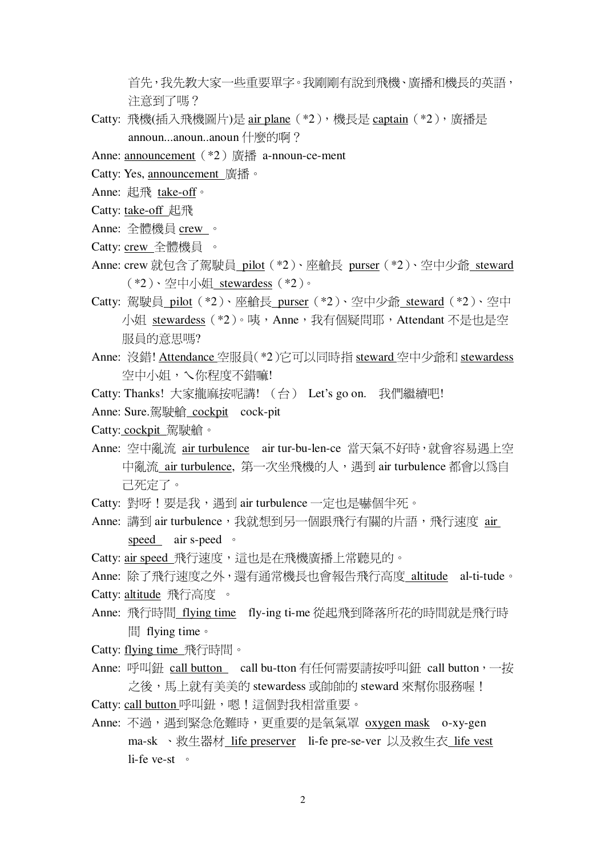首先,我先教大家一些重要單字。我剛剛有說到飛機、廣播和機長的英語, 注意到了嗎?

- Catty: 飛機(插入飛機圖片)是 air plane (\*2), 機長是 captain (\*2), 廣播是 announ...anoun..anoun 什麼的啊?
- Anne: announcement (\*2) 廣播 a-nnoun-ce-ment
- Catty: Yes, announcement 廣播。
- Anne: 起飛 take-off。
- Catty: take-off 起飛
- Anne: 全體機員 crew 。
- Catty: crew 全體機員 。
- Anne: crew 就包含了駕駛員 pilot (\*2)、座艙長 purser (\*2)、空中少爺 steward (\*2)、空中小姐 stewardess (\*2)。
- Catty: 駕駛員 pilot (\*2)、座艙長 purser (\*2)、空中少爺 steward (\*2)、空中 小姐 stewardess (\*2)。咦,Anne,我有個疑問耶,Attendant 不是也是空 服員的意思嗎?
- Anne: 沒錯! Attendance 空服員(\*2)它可以同時指 steward 空中少爺和 stewardess 空中小姐,乀你程度不錯嘛!
- Catty: Thanks! 大家攏麻按呢講! (台) Let's go on. 我們繼續吧!
- Anne: Sure.駕駛艙 cockpit cock-pit
- Catty: cockpit 駕駛艙。
- Anne: 空中亂流 air turbulence air tur-bu-len-ce 當天氣不好時,就會容易遇上空 中亂流 air turbulence, 第一次坐飛機的人, 遇到 air turbulence 都會以為自 己死定了。
- Catty: 對呀!要是我, 遇到 air turbulence 一定也是嚇個半死。
- Anne: 講到 air turbulence, 我就想到另一個跟飛行有關的片語, 飛行涑度 air speed air s-peed .
- Catty: air speed 飛行速度,這也是在飛機廣播上常聽見的。
- Anne: 除了飛行速度之外, 還有涌常機長也會報告飛行高度 altitude al-ti-tude。 Catty: altitude 飛行高度 。
- Anne: 飛行時間 flying time fly-ing ti-me 從起飛到降落所花的時間就是飛行時 間 flying time。
- Catty: flying time 飛行時間。
- Anne: 呼叫鈕 call button call bu-tton 有任何需要請按呼叫鈕 call button, 一按 之後,馬上就有美美的 stewardess 或帥帥的 steward 來幫你服務喔! Catty: call button 呼叫鈕,嗯!這個對我相當重要。
- Anne: 不過,遇到緊急危難時,更重要的是氧氣罩 oxygen mask o-xy-gen ma-sk 、救生器材 life preserver li-fe pre-se-ver 以及救生衣 life vest li-fe ve-st  $\circ$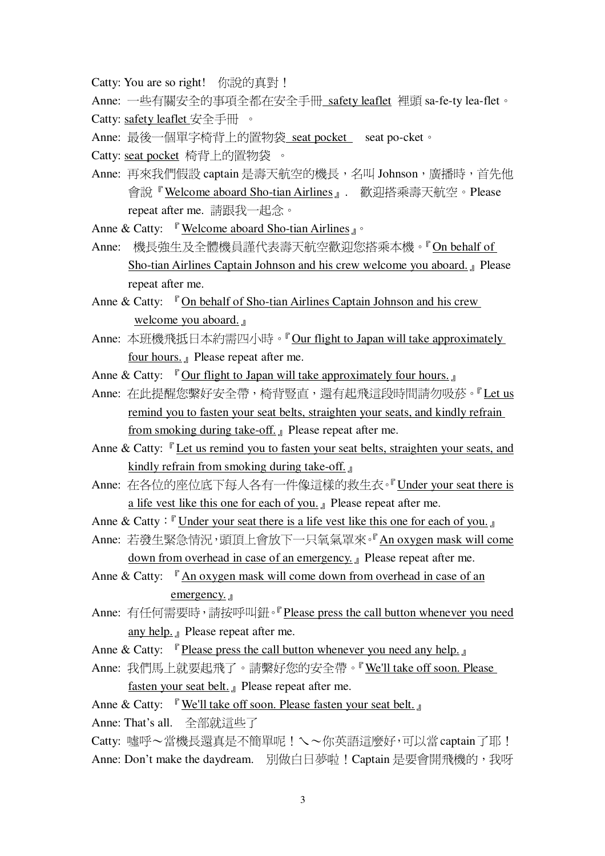Catty: You are so right! 你說的真對 !

Anne: 一些有關安全的事項全都在安全手冊 safety leaflet 裡頭 sa-fe-ty lea-flet。 Catty: safety leaflet 安全手冊 。

Anne: 最後一個單字椅背上的置物袋 seat pocket seat po-cket。

Catty: seat pocket 椅背上的置物袋。

- Anne: 再來我們假設 captain 是壽天航空的機長, 名叫 Johnson, 廣播時, 首先他 會說『Welcome aboard Sho-tian Airlines』. 歡迎搭乘壽天航空。Please repeat after me. 請跟我一起念。
- Anne & Catty:  $\sqrt{r}$  Welcome aboard Sho-tian Airlines  $\sqrt{r}$
- Anne: 機長強牛及全體機員謹代表壽天航空歡迎您搭乘本機。『On behalf of Sho-tian Airlines Captain Johnson and his crew welcome you aboard. Delase repeat after me.
- Anne & Catty:  $\Gamma$  On behalf of Sho-tian Airlines Captain Johnson and his crew welcome you aboard.
- Anne: 本班機飛抵日本約需四小時。『Our flight to Japan will take approximately four hours.  $\Box$  Please repeat after me.
- Anne & Catty:  $\Gamma$  Our flight to Japan will take approximately four hours.
- Anne: 在此提醒您繫好安全帶, 椅背豎直, 還有起飛這段時間請勿吸菸。『Let us remind you to fasten your seat belts, straighten your seats, and kindly refrain from smoking during take-off. Please repeat after me.
- Anne & Catty: <sup>"</sup>Let us remind you to fasten your seat belts, straighten your seats, and kindly refrain from smoking during take-off.
- Anne: 在各位的座位底下每人各有一件像這樣的救生衣。『Under vour seat there is a life vest like this one for each of you. *I* Please repeat after me.
- Anne & Catty:  $\mathbb{F}$  Under your seat there is a life vest like this one for each of you.
- Anne: 若發生堅急情況, 頭頂上會放下一只氧氣罩來。『An oxvgen mask will come down from overhead in case of an emergency. <br>
<u>I</u> Please repeat after me.
- Anne & Catty:  $\int$  An oxygen mask will come down from overhead in case of an emergency.  $\mathbb{I}$
- Anne: 有任何需要時,請按呼叫鈕。『Please press the call button whenever vou need any help. Please repeat after me.
- Anne & Catty:  $\int_{0}^{a}$  Please press the call button whenever you need any help.
- Anne: 我們馬上就要起飛了。請繫好您的安全帶。『We'll take off soon. Please fasten your seat belt. <sub>J</sub> Please repeat after me.

Anne & Catty:  $\sqrt{ }$  We'll take off soon. Please fasten your seat belt.

Anne: That's all. 全部就這些了

Catty: 嘘呼~當機長還直是不簡單呢!乀~你英語這麼好,可以當 captain了耶! Anne: Don't make the daydream. 別做白日夢啦!Captain 是要會開飛機的, 我呀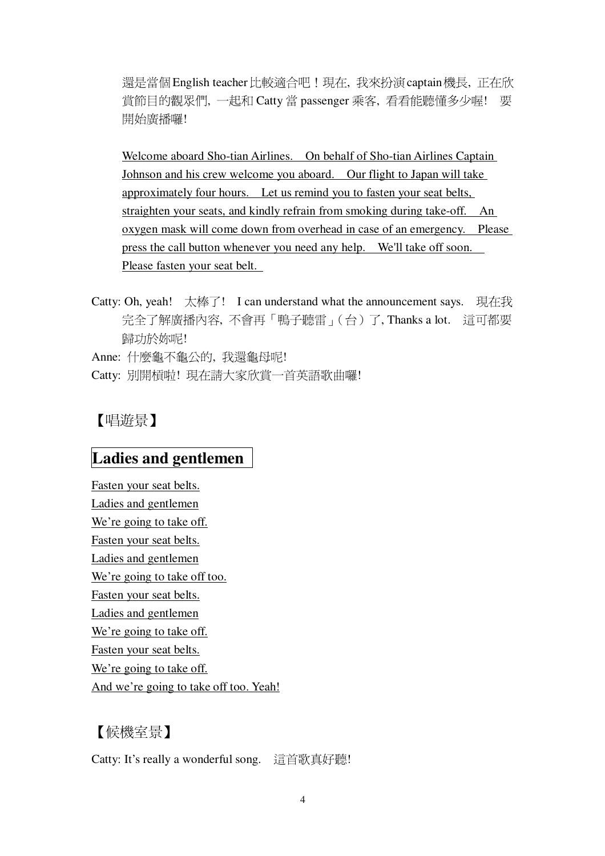還是當個 English teacher 比較適合吧!現在, 我來扮演 captain 機長, 正在欣 賞節目的觀眾們, 一起和 Catty 當 passenger 乘客, 看看能聽懂多少喔! 要 開始廣播囉!

Welcome aboard Sho-tian Airlines. On behalf of Sho-tian Airlines Captain Johnson and his crew welcome you aboard. Our flight to Japan will take approximately four hours. Let us remind you to fasten your seat belts, straighten your seats, and kindly refrain from smoking during take-off. An oxygen mask will come down from overhead in case of an emergency. Please press the call button whenever you need any help. We'll take off soon. Please fasten your seat belt.

Catty: Oh, yeah! 太棒了! I can understand what the announcement says. 現在我 完全了解廣播內容,不會再「鴨子聽雷」(台)了, Thanks a lot. 這可都要 歸功於妳呢! Anne: 什麼龜不龜公的, 我還龜母呢!

Catty: 別開槓啦! 現在請大家欣賞一首英語歌曲囉!

## 【唱遊景】

# Ladies and gentlemen

Fasten your seat belts. Ladies and gentlemen We're going to take off. Fasten your seat belts. Ladies and gentlemen We're going to take off too. Fasten your seat belts. Ladies and gentlemen We're going to take off. Fasten your seat belts. We're going to take off. And we're going to take off too. Yeah!

# 【候機室景】

Catty: It's really a wonderful song. 這首歌真好聽!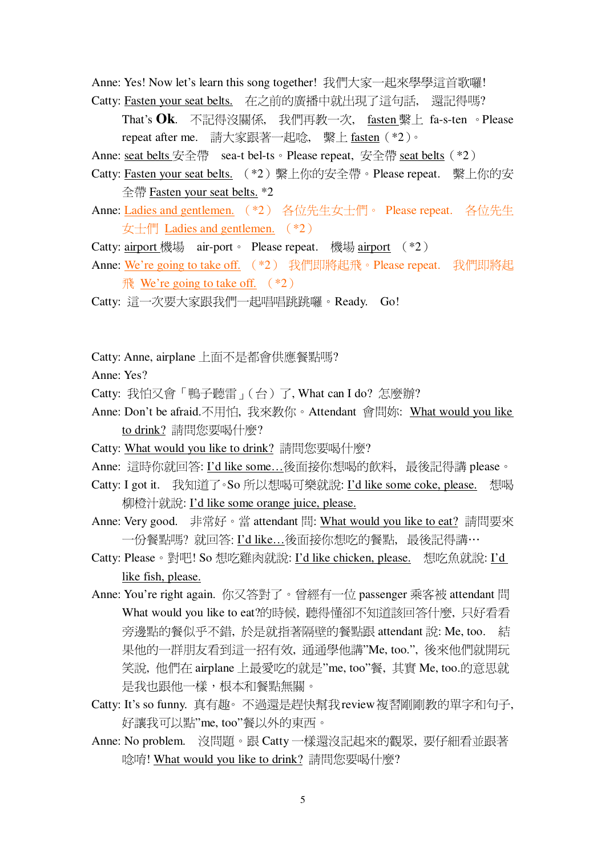Anne: Yes! Now let's learn this song together! 我們大家一起來學學這首歌囉! Catty: Fasten your seat belts. 在之前的廣播中就出現了這句話, 還記得嗎?

That's Ok. 不記得沒關係, 我們再教一次, fasten 繫上 fa-s-ten 。Please repeat after me. 請大家跟著一起唸, 繫上 fasten (\*2)。

Anne: seat belts  $\overleftrightarrow{\mathcal{R}} \hat{\pm}$  sea-t bel-ts  $\circ$  Please repeat,  $\overleftrightarrow{\mathcal{R}} \hat{\pm}$  seat belts  $(*2)$ 

- Catty: Fasten your seat belts. (\*2) 繫上你的安全帶。Please repeat. 繫上你的安 全帶 Fasten your seat belts. \*2
- Anne: Ladies and gentlemen. (\*2) 各位先生女士們。 Please repeat. 各位先生  $\overline{\mathcal{L}}$  +  $\overline{\mathbb{H}}$  Ladies and gentlemen.  $(*2)$
- Catty: airport 機場 air-port Please repeat. 機場 airport  $(*2)$
- Anne: We're going to take off. (\*2) 我們即將起飛。Please repeat. 我們即將起  $\frac{7}{10}$  We're going to take off.  $(*2)$

Catty: 這一次要大家跟我們一起唱唱跳跳囉。Ready. Go!

Catty: Anne, airplane 上面不是都會供應餐點嗎?

Anne: Yes?

Catty: 我怕又會「鴨子聽雷」(台)了, What can I do? 怎麼辦?

- Anne: Don't be afraid.不用怕, 我來教你。Attendant 會問妳: What would you like to drink? 請問您要喝什麼?
- Catty: What would you like to drink? 請問您要喝什麼?
- Anne: 這時你就回答: I'd like some...後面接你想喝的飲料, 最後記得講 please。

Catty: I got it. 我知道了。So 所以想喝可樂就說: I'd like some coke, please. 想喝 柳橙汁就說: I'd like some orange juice, please.

Anne: Very good. 非常好。當 attendant 問: What would you like to eat? 請問要來 一份餐點嗎?就回答: I'd like... 後面接你想吃的餐點, 最後記得講…

- Catty: Please。對吧! So 想吃雞肉就說: I'd like chicken, please. 想吃魚就說: I'd like fish, please.
- Anne: You're right again. 你又答對了。曾經有一位 passenger 乘客被 attendant 問 What would you like to eat?的時候, 聽得懂卻不知道該回答什麼, 只好看看 旁邊點的餐似乎不錯, 於是就指著隔壁的餐點跟 attendant 說: Me, too. 結 果他的一群朋友看到這一招有效, 通通學他講"Me, too.", 後來他們就開玩 笑說, 他們在 airplane 上最愛吃的就是"me, too"餐, 其實 Me, too.的意思就 是我也跟他一樣,根本和餐點無關。
- Catty: It's so funny. 真有趣。不過還是趕快幫我 review 複習剛剛教的單字和句子, 好讓我可以點"me, too"餐以外的東西。
- Anne: No problem. 沒問題。跟 Catty 一樣還沒記起來的觀眾, 要仔細看並跟著 唸唷! What would you like to drink? 請問您要喝什麼?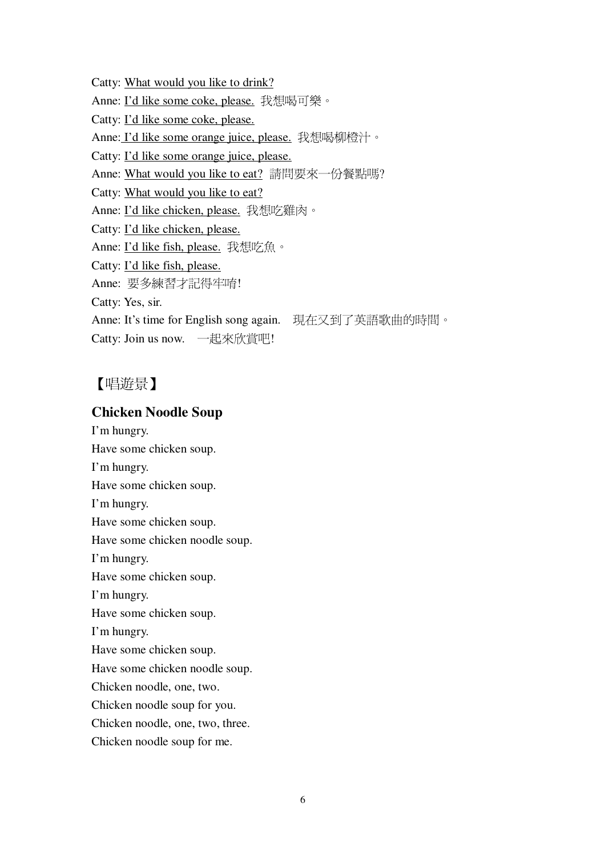Catty: What would you like to drink? Anne: I'd like some coke, please. 我想喝可樂。 Catty: I'd like some coke, please. Anne: I'd like some orange juice, please. 我想喝柳橙汁。 Catty: I'd like some orange juice, please. Anne: What would you like to eat? 請問要來一份餐點嗎? Catty: What would you like to eat? Anne: I'd like chicken, please. 我想吃雞肉。 Catty: I'd like chicken, please. Anne: I'd like fish, please. 我想吃魚。 Catty: I'd like fish, please. Anne: 要多練習才記得牢唷! Catty: Yes, sir. Anne: It's time for English song again. 現在又到了英語歌曲的時間。 Catty: Join us now. 一起來欣賞吧!

## 【唱遊景】

### **Chicken Noodle Soup**

I'm hungry. Have some chicken soup. I'm hungry. Have some chicken soup. I'm hungry. Have some chicken soup. Have some chicken noodle soup. I'm hungry. Have some chicken soup. I'm hungry. Have some chicken soup. I'm hungry. Have some chicken soup. Have some chicken noodle soup. Chicken noodle, one, two. Chicken noodle soup for you. Chicken noodle, one, two, three. Chicken noodle soup for me.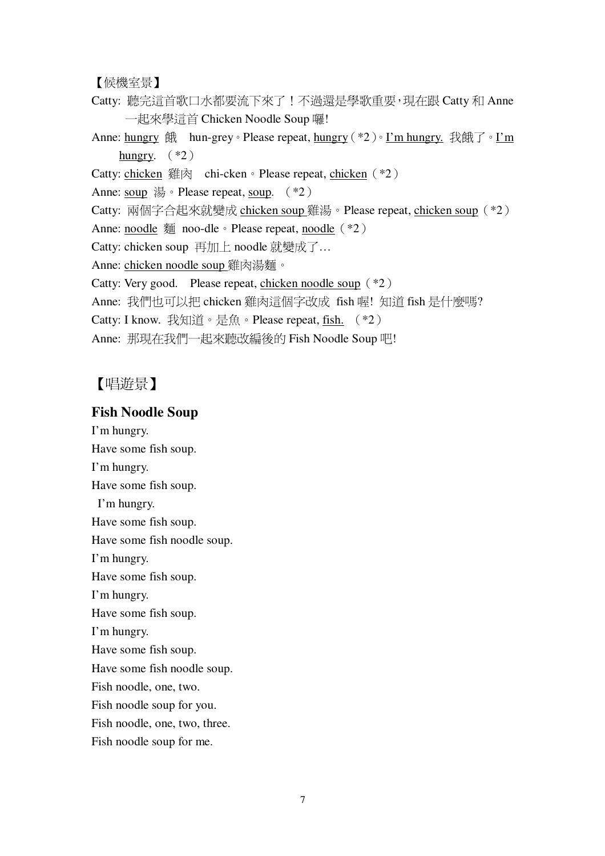#### 【候機室景】

Catty: 聽完這首歌口水都要流下來了!不過還是學歌重要,現在跟 Catty 和 Anne 一起來學這首 Chicken Noodle Soup 囉!

Anne: <u>hungry</u> 餓 hun-grey。Please repeat, <u>hungry</u> (\*2)。I'm hungry. 我餓了。I'm hungry.  $(*2)$ 

Catty: chicken 雞肉 chi-cken • Please repeat, chicken (\*2)

Anne: soup  $\frac{11}{60}$  • Please repeat, soup. (\*2)

Catty: 兩個字合起來就變成 chicken soup 雞湯。Please repeat, chicken soup (\*2)

Anne: noodle  $\overline{\mathfrak{M}}$  noo-dle  $\circ$  Please repeat, noodle  $(*2)$ 

Catty: chicken soup 再加上 noodle 就變成了...

Anne: chicken noodle soup 雞肉湯麵。

Catty: Very good. Please repeat, chicken noodle soup  $(*2)$ 

Anne: 我們也可以把 chicken 雞肉這個字改成 fish 喔! 知道 fish 是什麼嗎?

Catty: I know. 我知道。是魚。Please repeat, fish. (\*2)

Anne: 那現在我們一起來聽改編後的 Fish Noodle Soup 吧!

### 【唱游景】

#### **Fish Noodle Soup**

I'm hungry. Have some fish soup. I'm hungry. Have some fish soup. I'm hungry. Have some fish soup. Have some fish noodle soup. I'm hungry. Have some fish soup. I'm hungry. Have some fish soup. I'm hungry. Have some fish soup. Have some fish noodle soup. Fish noodle, one, two. Fish noodle soup for you. Fish noodle, one, two, three. Fish noodle soup for me.